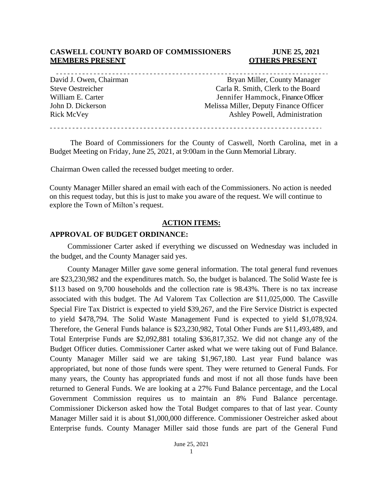# **CASWELL COUNTY BOARD OF COMMISSIONERS JUNE 25, 2021 MEMBERS PRESENT CONFIDENT OTHERS PRESENT**

. . . . . . . . . . . . . . . . . . . David J. Owen, Chairman Bryan Miller, County Manager Steve Oestreicher Carla R. Smith, Clerk to the Board William E. Carter The Carter School of Tennifer Hammock, Finance Officer John D. Dickerson Melissa Miller, Deputy Finance Officer Rick McVey Ashley Powell, Administration 

The Board of Commissioners for the County of Caswell, North Carolina, met in a Budget Meeting on Friday, June 25, 2021, at 9:00am in the Gunn Memorial Library.

Chairman Owen called the recessed budget meeting to order.

County Manager Miller shared an email with each of the Commissioners. No action is needed on this request today, but this is just to make you aware of the request. We will continue to explore the Town of Milton's request.

## **ACTION ITEMS:**

# **APPROVAL OF BUDGET ORDINANCE:**

Commissioner Carter asked if everything we discussed on Wednesday was included in the budget, and the County Manager said yes.

County Manager Miller gave some general information. The total general fund revenues are \$23,230,982 and the expenditures match. So, the budget is balanced. The Solid Waste fee is \$113 based on 9,700 households and the collection rate is 98.43%. There is no tax increase associated with this budget. The Ad Valorem Tax Collection are \$11,025,000. The Casville Special Fire Tax District is expected to yield \$39,267, and the Fire Service District is expected to yield \$478,794. The Solid Waste Management Fund is expected to yield \$1,078,924. Therefore, the General Funds balance is \$23,230,982, Total Other Funds are \$11,493,489, and Total Enterprise Funds are \$2,092,881 totaling \$36,817,352. We did not change any of the Budget Officer duties. Commissioner Carter asked what we were taking out of Fund Balance. County Manager Miller said we are taking \$1,967,180. Last year Fund balance was appropriated, but none of those funds were spent. They were returned to General Funds. For many years, the County has appropriated funds and most if not all those funds have been returned to General Funds. We are looking at a 27% Fund Balance percentage, and the Local Government Commission requires us to maintain an 8% Fund Balance percentage. Commissioner Dickerson asked how the Total Budget compares to that of last year. County Manager Miller said it is about \$1,000,000 difference. Commissioner Oestreicher asked about Enterprise funds. County Manager Miller said those funds are part of the General Fund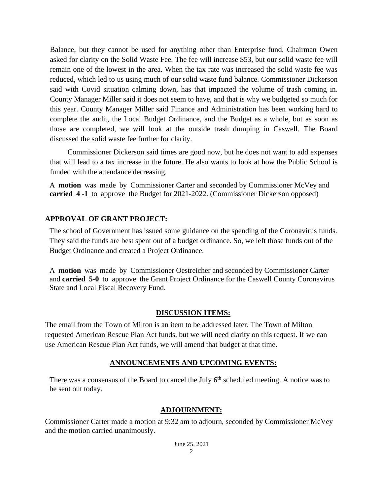Balance, but they cannot be used for anything other than Enterprise fund. Chairman Owen asked for clarity on the Solid Waste Fee. The fee will increase \$53, but our solid waste fee will remain one of the lowest in the area. When the tax rate was increased the solid waste fee was reduced, which led to us using much of our solid waste fund balance. Commissioner Dickerson said with Covid situation calming down, has that impacted the volume of trash coming in. County Manager Miller said it does not seem to have, and that is why we budgeted so much for this year. County Manager Miller said Finance and Administration has been working hard to complete the audit, the Local Budget Ordinance, and the Budget as a whole, but as soon as those are completed, we will look at the outside trash dumping in Caswell. The Board discussed the solid waste fee further for clarity.

Commissioner Dickerson said times are good now, but he does not want to add expenses that will lead to a tax increase in the future. He also wants to look at how the Public School is funded with the attendance decreasing.

A **motion** was made by Commissioner Carter and seconded by Commissioner McVey and **carried 4 -1** to approve the Budget for 2021-2022. (Commissioner Dickerson opposed)

# **APPROVAL OF GRANT PROJECT:**

The school of Government has issued some guidance on the spending of the Coronavirus funds. They said the funds are best spent out of a budget ordinance. So, we left those funds out of the Budget Ordinance and created a Project Ordinance.

A **motion** was made by Commissioner Oestreicher and seconded by Commissioner Carter and **carried 5-0** to approve the Grant Project Ordinance for the Caswell County Coronavirus State and Local Fiscal Recovery Fund.

# **DISCUSSION ITEMS:**

The email from the Town of Milton is an item to be addressed later. The Town of Milton requested American Rescue Plan Act funds, but we will need clarity on this request. If we can use American Rescue Plan Act funds, we will amend that budget at that time.

# **ANNOUNCEMENTS AND UPCOMING EVENTS:**

There was a consensus of the Board to cancel the July  $6<sup>th</sup>$  scheduled meeting. A notice was to be sent out today.

# **ADJOURNMENT:**

Commissioner Carter made a motion at 9:32 am to adjourn, seconded by Commissioner McVey and the motion carried unanimously.

> June 25, 2021  $\gamma$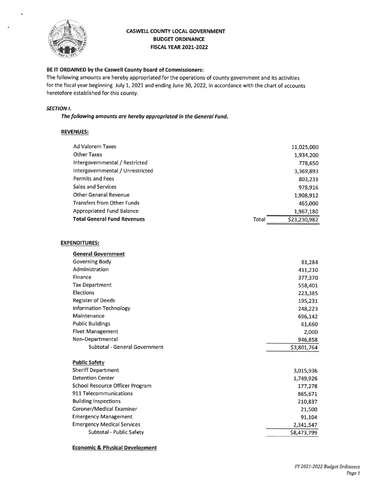

### **CASWELL COUNTY LOCAL GOVERNMENT BUDGET ORDINANCE FISCAL YEAR 2021-2022**

### BE IT ORDAINED by the Caswell County Board of Commissioners:

The following amounts are hereby appropriated for the operations of county government and its activities for the fiscal year beginning July 1, 2021 and ending June 30, 2022, in accordance with the chart of accounts heretofore established for this county.

### **SECTION I.**

The following amounts are hereby appropriated in the General Fund.

#### **REVENUES:**

|       | 11,025,000   |
|-------|--------------|
|       | 1,934,200    |
|       | 778,650      |
|       | 3,369,893    |
|       | 803,231      |
|       | 978,916      |
|       | 1,908,912    |
|       | 465,000      |
|       | 1,967,180    |
| Total | \$23,230,982 |
|       |              |

#### **EXPENDITURES:**

| <b>General Government</b>         |             |
|-----------------------------------|-------------|
| Governing Body                    | 81,284      |
| Administration                    | 411,210     |
| Finance                           | 377,370     |
| <b>Tax Department</b>             | 558,401     |
| Elections                         | 223,385     |
| <b>Register of Deeds</b>          | 195,231     |
| Information Technology            | 248,223     |
| Maintenance                       | 696,142     |
| <b>Public Buildings</b>           | 61,660      |
| <b>Fleet Management</b>           | 2,000       |
| Non-Departmental                  | 946,858     |
|                                   |             |
| Subtotal - General Government     | \$3,801,764 |
| <b>Public Safety</b>              |             |
| <b>Sheriff Department</b>         | 3,015,936   |
| <b>Detention Center</b>           | 1,749,926   |
| School Resource Officer Program   | 177,278     |
| 911 Telecommunications            | 865,671     |
| <b>Building Inspections</b>       | 210,837     |
| Coroner/Medical Examiner          | 21,500      |
| <b>Emergency Management</b>       | 91,104      |
| <b>Emergency Medical Services</b> | 2,341,547   |

#### **Economic & Physical Development**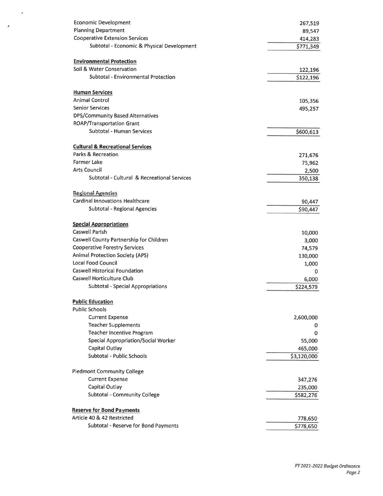| Economic Development                        | 267,519     |
|---------------------------------------------|-------------|
| <b>Planning Department</b>                  | 89,547      |
| <b>Cooperative Extension Services</b>       | 414,283     |
| Subtotal - Economic & Physical Development  | \$771,349   |
| <b>Environmental Protection</b>             |             |
| Soil & Water Conservation                   | 122,196     |
| Subtotal - Environmental Protection         | \$122,196   |
|                                             |             |
| <b>Human Services</b>                       |             |
| <b>Animal Control</b>                       | 105,356     |
| <b>Senior Services</b>                      | 495,257     |
| <b>DPS/Community Based Alternatives</b>     |             |
| <b>ROAP/Transportation Grant</b>            |             |
| Subtotal - Human Services                   | \$600,613   |
| <b>Cultural &amp; Recreational Services</b> |             |
| Parks & Recreation                          | 271,676     |
| Farmer Lake                                 | 75,962      |
| Arts Council                                | 2,500       |
| Subtotal - Cultural & Recreational Services | 350,138     |
| <b>Regional Agencies</b>                    |             |
| <b>Cardinal Innovations Healthcare</b>      | 90,447      |
| Subtotal - Regional Agencies                | \$90,447    |
|                                             |             |
| <b>Special Appropriations</b>               |             |
| Caswell Parish                              | 10,000      |
| Caswell County Partnership for Children     | 3,000       |
| <b>Cooperative Forestry Services</b>        | 74,579      |
| <b>Animal Protection Society (APS)</b>      | 130,000     |
| Local Food Council                          | 1,000       |
| Caswell Historical Foundation               | 0           |
| Caswell Horticulture Club                   | 6,000       |
| <b>Subtotal - Special Appropriations</b>    | \$224,579   |
| <b>Public Education</b>                     |             |
| <b>Public Schools</b>                       |             |
| <b>Current Expense</b>                      | 2,600,000   |
| <b>Teacher Supplements</b>                  | 0           |
| Teacher Incentive Program                   | 0           |
| Special Appropriation/Social Worker         | 55,000      |
| Capital Outlay                              | 465,000     |
| Subtotal - Public Schools                   | \$3,120,000 |
| <b>Piedmont Community College</b>           |             |
| <b>Current Expense</b>                      | 347,276     |
| Capital Outlay                              | 235,000     |
| Subtotal - Community College                | \$582,276   |
|                                             |             |
| <b>Reserve for Bond Payments</b>            |             |
| Article 40 & 42 Restricted                  | 778,650     |
| Subtotal - Reserve for Bond Payments        | \$778,650   |

 $\bullet$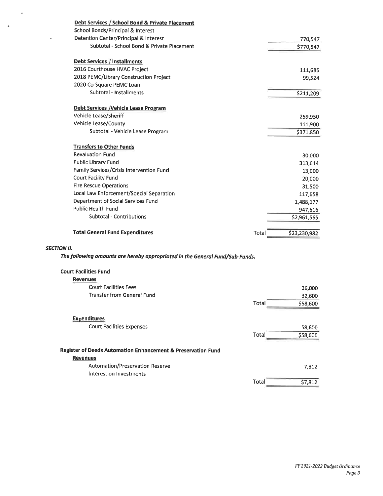| Debt Services / School Bond & Private Placement |                       |
|-------------------------------------------------|-----------------------|
| School Bonds/Principal & Interest               |                       |
| Detention Center/Principal & Interest           | 770,547               |
| Subtotal - School Bond & Private Placement      | \$770,547             |
| <b>Debt Services / Installments</b>             |                       |
| 2016 Courthouse HVAC Project                    | 111,685               |
| 2018 PEMC/Library Construction Project          | 99,524                |
| 2020 Co-Square PEMC Loan                        |                       |
| Subtotal - Installments                         | \$211,209             |
| Debt Services / Vehicle Lease Program           |                       |
| Vehicle Lease/Sheriff                           | 259,950               |
| Vehicle Lease/County                            | 111,900               |
| Subtotal - Vehicle Lease Program                | \$371,850             |
| <b>Transfers to Other Funds</b>                 |                       |
| <b>Revaluation Fund</b>                         | 30,000                |
| Public Library Fund                             | 313,614               |
| Family Services/Crisis Intervention Fund        | 13,000                |
| Court Facility Fund                             | 20,000                |
| <b>Fire Rescue Operations</b>                   | 31,500                |
| Local Law Enforcement/Special Separation        | 117,658               |
| Department of Social Services Fund              | 1,488,177             |
| <b>Public Health Fund</b>                       | 947,616               |
| Subtotal - Contributions                        | \$2,961,565           |
| <b>Total General Fund Expenditures</b>          | \$23,230,982<br>Total |

# **SECTION II.**

 $\sim$   $\star$ 

 $\mathcal{A}$ 

The following amounts are hereby appropriated in the General Fund/Sub-Funds.

| <b>Court Facilities Fund</b>                                 |       |          |
|--------------------------------------------------------------|-------|----------|
| <b>Revenues</b>                                              |       |          |
| <b>Court Facilities Fees</b>                                 |       | 26,000   |
| <b>Transfer from General Fund</b>                            |       | 32,600   |
|                                                              | Total | \$58,600 |
| <b>Expenditures</b>                                          |       |          |
| <b>Court Facilities Expenses</b>                             |       | 58,600   |
|                                                              | Total | \$58,600 |
| Register of Deeds Automation Enhancement & Preservation Fund |       |          |
| <b>Revenues</b>                                              |       |          |
| Automation/Preservation Reserve                              |       | 7,812    |
| Interest on Investments                                      |       |          |
|                                                              | Total | \$7,812  |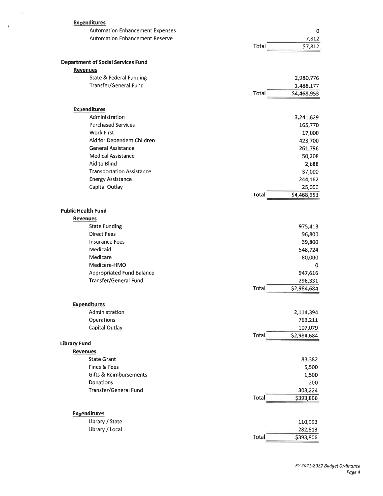| <b>Expenditures</b>                       |                      |
|-------------------------------------------|----------------------|
| <b>Automation Enhancement Expenses</b>    | 0                    |
| <b>Automation Enhancement Reserve</b>     | 7,812                |
|                                           | \$7,812<br>Total     |
| <b>Department of Social Services Fund</b> |                      |
| <b>Revenues</b>                           |                      |
| State & Federal Funding                   | 2,980,776            |
| Transfer/General Fund                     | 1,488,177            |
|                                           | Total<br>\$4,468,953 |
| <b>Expenditures</b>                       |                      |
| Administration                            | 3,241,629            |
| <b>Purchased Services</b>                 | 165,770              |
| <b>Work First</b>                         | 17,000               |
| Aid for Dependent Children                |                      |
| <b>General Assistance</b>                 | 423,700              |
| <b>Medical Assistance</b>                 | 261,796              |
| Aid to Blind                              | 50,208               |
| <b>Transportation Assistance</b>          | 2,688                |
|                                           | 37,000               |
| <b>Energy Assistance</b>                  | 244,162              |
| Capital Outlay                            | 25,000               |
|                                           | \$4,468,953<br>Total |
| <b>Public Health Fund</b>                 |                      |
| <b>Revenues</b>                           |                      |
| <b>State Funding</b>                      | 975,413              |
| <b>Direct Fees</b>                        | 96,800               |
| <b>Insurance Fees</b>                     | 39,800               |
| Medicaid                                  | 548,724              |
| Medicare                                  | 80,000               |
| Medicare-HMO                              | 0                    |
| <b>Appropriated Fund Balance</b>          | 947,616              |
| Transfer/General Fund                     | 296,331              |
|                                           | \$2,984,684<br>Total |
| <b>Expenditures</b>                       |                      |
| Administration                            | 2,114,394            |
| Operations                                | 763,211              |
| Capital Outlay                            | 107,079              |
|                                           | Total<br>\$2,984,684 |
| <b>Library Fund</b>                       |                      |
| <b>Revenues</b>                           |                      |
| <b>State Grant</b>                        | 83,382               |
| Fines & Fees                              | 5,500                |
| Gifts & Reimbursements                    | 1,500                |
| <b>Donations</b>                          | 200                  |
| Transfer/General Fund                     | 303,224              |
|                                           | Total<br>\$393,806   |
| <b>Expenditures</b>                       |                      |
| Library / State                           | 110,993              |
| Library / Local                           | 282,813              |
|                                           | Total<br>\$393,806   |
|                                           |                      |

 $\sim$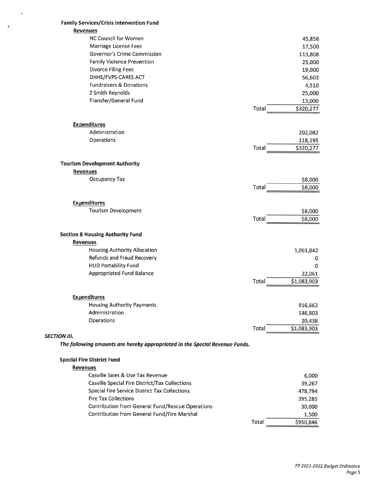| <b>Family Services/Crisis Intervention Fund</b>                                                    |                      |
|----------------------------------------------------------------------------------------------------|----------------------|
| <b>Revenues</b>                                                                                    |                      |
| NC Council for Women                                                                               | 45,856               |
| Marriage License Fees                                                                              | 17,500               |
| Governor's Crime Commission                                                                        | 113,808              |
| <b>Family Violence Prevention</b>                                                                  | 25,000               |
| Divorce Filing Fees                                                                                | 19,000               |
| DHHS/FVPS-CARES ACT                                                                                | 56,603               |
| <b>Fundraisers &amp; Donations</b>                                                                 | 4,510                |
| Z Smith Reynolds                                                                                   | 25,000               |
| Transfer/General Fund                                                                              | 13,000               |
|                                                                                                    | Total<br>\$320,277   |
| <b>Expenditures</b>                                                                                |                      |
| Administration                                                                                     | 202,082              |
| Operations                                                                                         | 118,195              |
|                                                                                                    | Total<br>\$320,277   |
| <b>Tourism Development Authority</b>                                                               |                      |
| <b>Revenues</b>                                                                                    |                      |
| Occupancy Tax                                                                                      | \$8,000              |
|                                                                                                    | Total<br>\$8,000     |
| <b>Expenditures</b>                                                                                |                      |
| <b>Tourism Development</b>                                                                         | \$8,000              |
|                                                                                                    | Total<br>\$8,000     |
| <b>Section 8 Housing Authority Fund</b>                                                            |                      |
| <b>Revenues</b>                                                                                    |                      |
| <b>Housing Authority Allocation</b>                                                                |                      |
| Refunds and Fraud Recovery                                                                         | 1,061,842            |
| <b>HUD Portability Fund</b>                                                                        | 0                    |
| Appropriated Fund Balance                                                                          | 0                    |
|                                                                                                    | 22,061<br>Total      |
|                                                                                                    | \$1,083,903          |
| <b>Expenditures</b>                                                                                |                      |
| <b>Housing Authority Payments</b>                                                                  | 916,662              |
| Administration                                                                                     | 146,803              |
| Operations                                                                                         | 20,438               |
|                                                                                                    | Total<br>\$1,083,903 |
| <b>SECTION III.</b><br>The following amounts are hereby appropriated in the Special Revenue Funds. |                      |
|                                                                                                    |                      |
| <b>Special Fire District Fund</b>                                                                  |                      |
| <b>Revenues</b>                                                                                    |                      |
| Casville Sales & Use Tax Revenue                                                                   | 6,000                |
| Casville Special Fire District/Tax Collections                                                     | 39,267               |
| Special Fire Service District Tax Collections                                                      | 478,794              |
| <b>Fire Tax Collections</b>                                                                        | 395,285              |
| <b>Contribution from General Fund/Rescue Operations</b>                                            | 30,000               |
| Contribution from General Fund/Fire Marshal                                                        | 1,500                |
|                                                                                                    | \$950,846<br>Total   |

 $\bar{\pmb{\theta}}$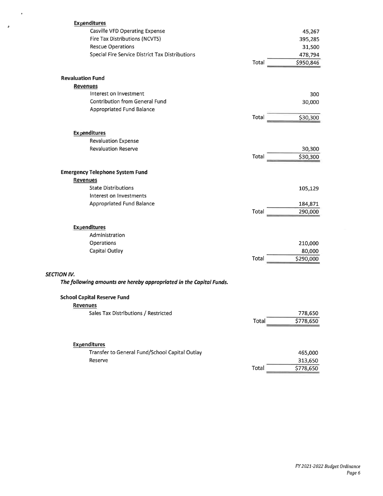| <b>Expenditures</b>                                                 |       |           |
|---------------------------------------------------------------------|-------|-----------|
| Casville VFD Operating Expense                                      |       | 45,267    |
| Fire Tax Distributions (NCVTS)                                      |       | 395,285   |
| <b>Rescue Operations</b>                                            |       | 31,500    |
| Special Fire Service District Tax Distributions                     |       | 478,794   |
|                                                                     | Total | \$950,846 |
|                                                                     |       |           |
| <b>Revaluation Fund</b>                                             |       |           |
| <b>Revenues</b>                                                     |       |           |
| Interest on Investment                                              |       | 300       |
| Contribution from General Fund                                      |       | 30,000    |
| Appropriated Fund Balance                                           |       |           |
|                                                                     | Total | \$30,300  |
|                                                                     |       |           |
| <b>Expenditures</b>                                                 |       |           |
| <b>Revaluation Expense</b>                                          |       |           |
| <b>Revaluation Reserve</b>                                          |       | 30,300    |
|                                                                     | Total | \$30,300  |
|                                                                     |       |           |
| <b>Emergency Telephone System Fund</b>                              |       |           |
| <b>Revenues</b>                                                     |       |           |
| <b>State Distributions</b>                                          |       | 105,129   |
| Interest on Investments                                             |       |           |
| <b>Appropriated Fund Balance</b>                                    |       | 184,871   |
|                                                                     | Total | 290,000   |
|                                                                     |       |           |
| <b>Expenditures</b>                                                 |       |           |
| Administration                                                      |       |           |
| Operations                                                          |       | 210,000   |
| Capital Outlay                                                      |       | 80,000    |
|                                                                     | Total | \$290,000 |
|                                                                     |       |           |
| <b>SECTION IV.</b>                                                  |       |           |
| The following amounts are hereby appropriated in the Capital Funds. |       |           |
| <b>School Capital Reserve Fund</b>                                  |       |           |
| <b>Revenues</b>                                                     |       |           |
| Sales Tax Distributions / Restricted                                |       | 778,650   |
|                                                                     | Total | \$778,650 |
|                                                                     |       |           |
|                                                                     |       |           |
| <b>Expenditures</b>                                                 |       |           |
| Transfer to General Fund/School Capital Outlay                      |       | 465,000   |
| Reserve                                                             |       | 313,650   |
|                                                                     | Total | \$778,650 |
|                                                                     |       |           |

 $\rightarrow$ 

 $\hat{\pmb{\theta}}$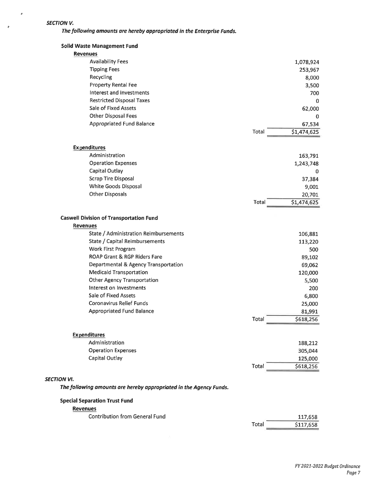### **SECTION V.**

 $\hat{\boldsymbol{\sigma}}$ 

 $\bar{\pmb{r}}$ 

The following amounts are hereby appropriated in the Enterprise Funds.

| <b>Revenues</b>                                                    |                      |
|--------------------------------------------------------------------|----------------------|
| <b>Special Separation Trust Fund</b>                               |                      |
| The following amounts are hereby appropriated in the Agency Funds. |                      |
| <b>SECTION VI.</b>                                                 |                      |
|                                                                    | Total<br>\$618,256   |
| Capital Outlay                                                     | 125,000              |
| <b>Operation Expenses</b>                                          | 305,044              |
| Administration                                                     | 188,212              |
| <b>Expenditures</b>                                                |                      |
|                                                                    |                      |
|                                                                    | Total<br>\$618,256   |
| <b>Appropriated Fund Balance</b>                                   | 25,000<br>81,991     |
| <b>Coronavirus Relief Funds</b>                                    | 6,800                |
| Interest on Investments<br>Sale of Fixed Assets                    | 200                  |
| <b>Other Agency Transportation</b>                                 | 5,500                |
| <b>Medicaid Transportation</b>                                     | 120,000              |
| Departmental & Agency Transportation                               | 69,062               |
| ROAP Grant & RGP Riders Fare                                       | 89,102               |
| Work First Program                                                 | 500                  |
| State / Capital Reimbursements                                     | 113,220              |
| State / Administration Reimbursements                              | 106,881              |
| <b>Revenues</b>                                                    |                      |
| <b>Caswell Division of Transportation Fund</b>                     |                      |
|                                                                    |                      |
|                                                                    | \$1,474,625<br>Total |
| <b>Other Disposals</b>                                             | 20,701               |
| White Goods Disposal                                               | 9,001                |
| <b>Scrap Tire Disposal</b>                                         | 0<br>37,384          |
| Capital Outlay                                                     | 1,243,748            |
| <b>Operation Expenses</b>                                          | 163,791              |
| <b>Expenditures</b><br>Administration                              |                      |
|                                                                    |                      |
|                                                                    | \$1,474,625<br>Total |
| <b>Appropriated Fund Balance</b>                                   | 67,534               |
| <b>Other Disposal Fees</b>                                         | 0                    |
| Sale of Fixed Assets                                               | 62,000               |
| <b>Restricted Disposal Taxes</b>                                   | 0                    |
| Interest and Investments                                           | 700                  |
| <b>Property Rental Fee</b>                                         | 3,500                |
| Recycling                                                          | 8,000                |
| <b>Tipping Fees</b>                                                | 253,967              |
| <b>Availability Fees</b>                                           | 1,078,924            |
| <b>Revenues</b>                                                    |                      |
| <b>Solid Waste Management Fund</b>                                 |                      |

**Contribution from General Fund** 

117,658 Total \$117,658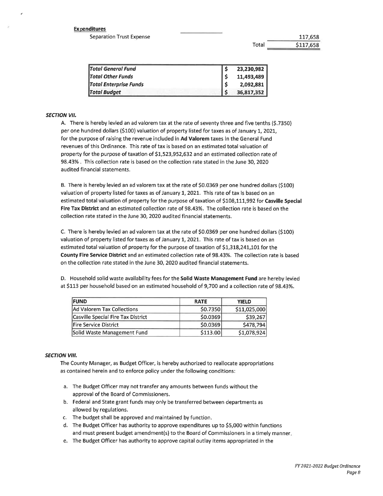#### **Expenditures**

**Separation Trust Expense** 

\$117,658 Total

117,658

| <b>Total General Fund</b>     | 23,230,982 |
|-------------------------------|------------|
| <b>Total Other Funds</b>      | 11,493,489 |
| <b>Total Enterprise Funds</b> | 2,092,881  |
| <b>Total Budget</b>           | 36,817,352 |

#### **SECTION VII.**

A. There is hereby levied an ad valorem tax at the rate of seventy three and five tenths (\$.7350) per one hundred dollars (\$100) valuation of property listed for taxes as of January 1, 2021, for the purpose of raising the revenue included in Ad Valorem taxes in the General Fund revenues of this Ordinance. This rate of tax is based on an estimated total valuation of property for the purpose of taxation of \$1,523,952,632 and an estimated collection rate of 98.43%. This collection rate is based on the collection rate stated in the June 30, 2020 audited financial statements.

B. There is hereby levied an ad valorem tax at the rate of \$0.0369 per one hundred dollars (\$100) valuation of property listed for taxes as of January 1, 2021. This rate of tax is based on an estimated total valuation of property for the purpose of taxation of \$108,111,992 for Casville Special Fire Tax District and an estimated collection rate of 98.43%. The collection rate is based on the collection rate stated in the June 30, 2020 audited financial statements.

C. There is hereby levied an ad valorem tax at the rate of \$0.0369 per one hundred dollars (\$100) valuation of property listed for taxes as of January 1, 2021. This rate of tax is based on an estimated total valuation of property for the purpose of taxation of \$1,318,241,101 for the County Fire Service District and an estimated collection rate of 98.43%. The collection rate is based on the collection rate stated in the June 30, 2020 audited financial statements.

D. Household solid waste availability fees for the Solid Waste Management Fund are hereby levied at \$113 per household based on an estimated household of 9,700 and a collection rate of 98.43%.

| <b>FUND</b>                        | <b>RATE</b> | <b>YIELD</b> |
|------------------------------------|-------------|--------------|
| Ad Valorem Tax Collections         | \$0.7350    | \$11,025,000 |
| Casville Special Fire Tax District | \$0.0369    | \$39,267     |
| <b>Fire Service District</b>       | 50.0369     | \$478,794    |
| Solid Waste Management Fund        | \$113.00    | \$1,078,924  |

#### **SECTION VIII.**

The County Manager, as Budget Officer, is hereby authorized to reallocate appropriations as contained herein and to enforce policy under the following conditions:

- a. The Budget Officer may not transfer any amounts between funds without the approval of the Board of Commissioners.
- b. Federal and State grant funds may only be transferred between departments as allowed by regulations.
- c. The budget shall be approved and maintained by function.
- d. The Budget Officer has authority to approve expenditures up to \$5,000 within functions and must present budget amendment(s) to the Board of Commissioners in a timely manner.
- e. The Budget Officer has authority to approve capital outlay items appropriated in the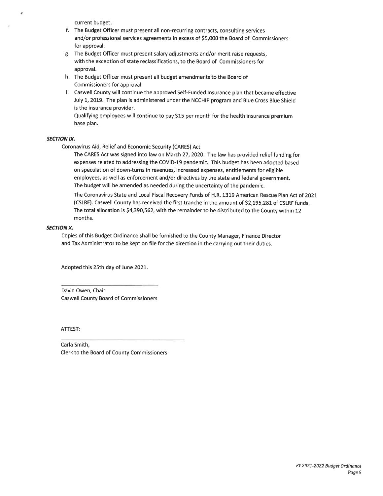current budget.

- f. The Budget Officer must present all non-recurring contracts, consulting services and/or professional services agreements in excess of \$5,000 the Board of Commissioners for approval.
- g. The Budget Officer must present salary adjustments and/or merit raise requests, with the exception of state reclassifications, to the Board of Commissioners for approval.
- h. The Budget Officer must present all budget amendments to the Board of Commissioners for approval.
- i. Caswell County will continue the approved Self-Funded Insurance plan that became effective July 1, 2019. The plan is administered under the NCCHIP program and Blue Cross Blue Shield is the insurance provider.

Qualifying employees will continue to pay \$15 per month for the health insurance premium base plan.

#### **SECTION IX.**

Coronavirus Aid, Relief and Economic Security (CARES) Act

The CARES Act was signed into law on March 27, 2020. The law has provided relief funding for expenses related to addressing the COVID-19 pandemic. This budget has been adopted based on speculation of down-turns in revenues, increased expenses, entitlements for eligible employees, as well as enforcement and/or directives by the state and federal government. The budget will be amended as needed during the uncertainty of the pandemic.

The Coronavirus State and Local Fiscal Recovery Funds of H.R. 1319 American Rescue Plan Act of 2021 (CSLRF). Caswell County has received the first tranche in the amount of \$2,195,281 of CSLRF funds. The total allocation is \$4,390,562, with the remainder to be distributed to the County within 12 months.

#### **SECTION X.**

Copies of this Budget Ordinance shall be furnished to the County Manager, Finance Director and Tax Administrator to be kept on file for the direction in the carrying out their duties.

Adopted this 25th day of June 2021.

David Owen, Chair **Caswell County Board of Commissioners** 

ATTEST:

Carla Smith, Clerk to the Board of County Commissioners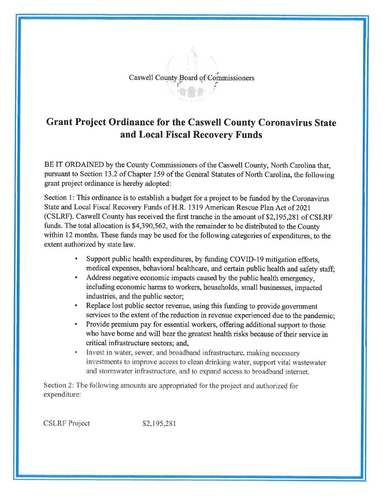# Caswell County Board of Commissioners

# **Grant Project Ordinance for the Caswell County Coronavirus State** and Local Fiscal Recovery Funds

BE IT ORDAINED by the County Commissioners of the Caswell County, North Carolina that, pursuant to Section 13.2 of Chapter 159 of the General Statutes of North Carolina, the following grant project ordinance is hereby adopted:

Section 1: This ordinance is to establish a budget for a project to be funded by the Coronavirus State and Local Fiscal Recovery Funds of H.R. 1319 American Rescue Plan Act of 2021 (CSLRF). Caswell County has received the first tranche in the amount of \$2,195,281 of CSLRF funds. The total allocation is \$4,390,562, with the remainder to be distributed to the County within 12 months. These funds may be used for the following categories of expenditures, to the extent authorized by state law.

- Support public health expenditures, by funding COVID-19 mitigation efforts. medical expenses, behavioral healthcare, and certain public health and safety staff;
- Address negative economic impacts caused by the public health emergency, including economic harms to workers, households, small businesses, impacted industries, and the public sector;
- Replace lost public sector revenue, using this funding to provide government services to the extent of the reduction in revenue experienced due to the pandemic:
- Provide premium pay for essential workers, offering additional support to those who have borne and will bear the greatest health risks because of their service in critical infrastructure sectors; and,
- Invest in water, sewer, and broadband infrastructure, making necessary investments to improve access to clean drinking water, support vital wastewater and stormwater infrastructure, and to expand access to broadband internet.

Section 2: The following amounts are appropriated for the project and authorized for expenditure:

**CSLRF** Project

\$2,195,281